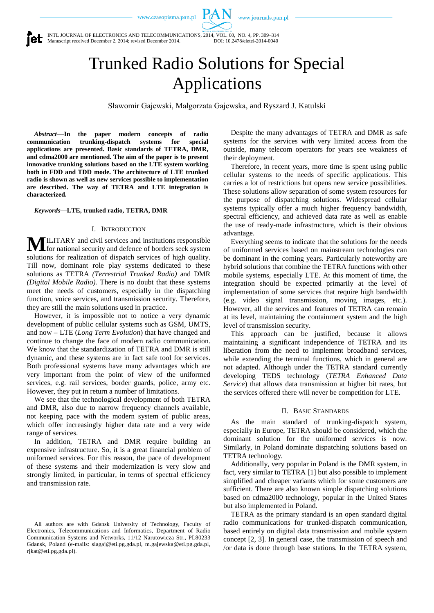www.journals.pan.pl

INTL JOURNAL OF ELECTRONICS AND TELECOMMUNICATIONS, 2014, VOL. 60, NO. 4, PP. 309–314 Manuscript received December 2, 2014; revised December 2014.

> Trunked Radio Solutions for Special Applications

Sławomir Gajewski, Małgorzata Gajewska, and Ryszard J. Katulski

*Abstract*—**In the paper modern concepts of radio communication trunking-dispatch systems for special applications are presented. Basic standards of TETRA, DMR, and cdma2000 are mentioned. The aim of the paper is to present innovative trunking solutions based on the LTE system working both in FDD and TDD mode. The architecture of LTE trunked radio is shown as well as new services possible to implementation are described. The way of TETRA and LTE integration is characterized.** 

## *Keywords***—LTE, trunked radio, TETRA, DMR**

## I. INTRODUCTION

ILITARY and civil services and institutions responsible for national security and defence of borders seek system **MI**LITARY and civil services and institutions responsible for national security and defence of borders seek system solutions for realization of dispatch services of high quality. Till now, dominant role play systems dedicated to these solutions as TETRA *(Terrestrial Trunked Radio)* and DMR *(Digital Mobile Radio).* There is no doubt that these systems meet the needs of customers, especially in the dispatching function, voice services, and transmission security. Therefore, they are still the main solutions used in practice.

However, it is impossible not to notice a very dynamic development of public cellular systems such as GSM, UMTS, and now – LTE (*Long Term Evolution*) that have changed and continue to change the face of modern radio communication. We know that the standardization of TETRA and DMR is still dynamic, and these systems are in fact safe tool for services. Both professional systems have many advantages which are very important from the point of view of the uniformed services, e.g. rail services, border guards, police, army etc. However, they put in return a number of limitations.

We see that the technological development of both TETRA and DMR, also due to narrow frequency channels available, not keeping pace with the modern system of public areas, which offer increasingly higher data rate and a very wide range of services.

In addition, TETRA and DMR require building an expensive infrastructure. So, it is a great financial problem of uniformed services. For this reason, the pace of development of these systems and their modernization is very slow and strongly limited, in particular, in terms of spectral efficiency and transmission rate.

Despite the many advantages of TETRA and DMR as safe systems for the services with very limited access from the outside, many telecom operators for years see weakness of their deployment.

Therefore, in recent years, more time is spent using public cellular systems to the needs of specific applications. This carries a lot of restrictions but opens new service possibilities. These solutions allow separation of some system resources for the purpose of dispatching solutions. Widespread cellular systems typically offer a much higher frequency bandwidth, spectral efficiency, and achieved data rate as well as enable the use of ready-made infrastructure, which is their obvious advantage.

Everything seems to indicate that the solutions for the needs of uniformed services based on mainstream technologies can be dominant in the coming years. Particularly noteworthy are hybrid solutions that combine the TETRA functions with other mobile systems, especially LTE. At this moment of time, the integration should be expected primarily at the level of implementation of some services that require high bandwidth (e.g. video signal transmission, moving images, etc.). However, all the services and features of TETRA can remain at its level, maintaining the containment system and the high level of transmission security.

This approach can be justified, because it allows maintaining a significant independence of TETRA and its liberation from the need to implement broadband services, while extending the terminal functions, which in general are not adapted. Although under the TETRA standard currently developing TEDS technology (*TETRA Enhanced Data Service*) that allows data transmission at higher bit rates, but the services offered there will never be competition for LTE.

# II. BASIC STANDARDS

As the main standard of trunking-dispatch system, especially in Europe, TETRA should be considered, which the dominant solution for the uniformed services is now. Similarly, in Poland dominate dispatching solutions based on TETRA technology.

Additionally, very popular in Poland is the DMR system, in fact, very similar to TETRA [1] but also possible to implement simplified and cheaper variants which for some customers are sufficient. There are also known simple dispatching solutions based on cdma2000 technology, popular in the United States but also implemented in Poland.

TETRA as the primary standard is an open standard digital radio communications for trunked-dispatch communication, based entirely on digital data transmission and mobile system concept [2, 3]. In general case, the transmission of speech and /or data is done through base stations. In the TETRA system,

All authors are with Gdansk University of Technology, Faculty of Electronics, Telecommunications and Informatics, Department of Radio Communication Systems and Networks, 11/12 Narutowicza Str., PL80233 Gdansk, Poland (e-mails: slagaj@eti.pg.gda.pl, m.gajewska@eti.pg.gda.pl, rjkat@eti.pg.gda.pl).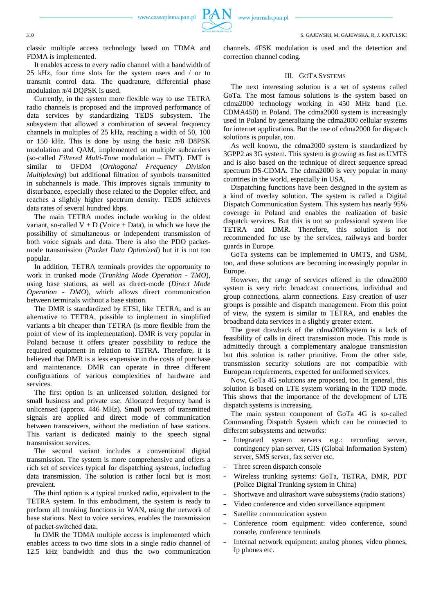classic multiple access technology based on TDMA and FDMA is implemented.

It enables access to every radio channel with a bandwidth of 25 kHz, four time slots for the system users and / or to transmit control data. The quadrature, differential phase modulation  $\pi/4$  DQPSK is used.

Currently, in the system more flexible way to use TETRA radio channels is proposed and the improved performance of data services by standardizing TEDS subsystem. The subsystem that allowed a combination of several frequency channels in multiples of 25 kHz, reaching a width of 50, 100 or 150 kHz. This is done by using the basic  $\pi/8$  D8PSK modulation and QAM, implemented on multiple subcarriers (so-called *Filtered Multi-Tone* modulation – FMT). FMT is similar to OFDM (*Orthogonal Frequency Division Multiplexing*) but additional filtration of symbols transmitted in subchannels is made. This improves signals immunity to disturbance, especially those related to the Doppler effect, and reaches a slightly higher spectrum density. TEDS achieves data rates of several hundred kbps.

The main TETRA modes include working in the oldest variant, so-called  $V + D$  (Voice + Data), in which we have the possibility of simultaneous or independent transmission of both voice signals and data. There is also the PDO packetmode transmission (*Packet Data Optimized*) but it is not too popular.

In addition, TETRA terminals provides the opportunity to work in trunked mode (*Trunking Mode Operation - TMO*), using base stations, as well as direct-mode (*Direct Mode Operation - DMO*), which allows direct communication between terminals without a base station.

The DMR is standardized by ETSI, like TETRA, and is an alternative to TETRA, possible to implement in simplified variants a bit cheaper than TETRA (is more flexible from the point of view of its implementation). DMR is very popular in Poland because it offers greater possibility to reduce the required equipment in relation to TETRA. Therefore, it is believed that DMR is a less expensive in the costs of purchase and maintenance. DMR can operate in three different configurations of various complexities of hardware and services.

The first option is an unlicensed solution, designed for small business and private use. Allocated frequency band is unlicensed (approx. 446 MHz). Small powers of transmitted signals are applied and direct mode of communication between transceivers, without the mediation of base stations. This variant is dedicated mainly to the speech signal transmission services.

The second variant includes a conventional digital transmission. The system is more comprehensive and offers a rich set of services typical for dispatching systems, including data transmission. The solution is rather local but is most prevalent.

The third option is a typical trunked radio, equivalent to the TETRA system. In this embodiment, the system is ready to perform all trunking functions in WAN, using the network of base stations. Next to voice services, enables the transmission of packet-switched data.

In DMR the TDMA multiple access is implemented which enables access to two time slots in a single radio channel of 12.5 kHz bandwidth and thus the two communication

channels. 4FSK modulation is used and the detection and correction channel coding.

# III. GOTA SYSTEMS

The next interesting solution is a set of systems called GoTa. The most famous solutions is the system based on cdma2000 technology working in 450 MHz band (i.e. CDMA450) in Poland. The cdma2000 system is increasingly used in Poland by generalizing the cdma2000 cellular systems for internet applications. But the use of cdma2000 for dispatch solutions is popular, too.

As well known, the cdma2000 system is standardized by 3GPP2 as 3G system. This system is growing as fast as UMTS and is also based on the technique of direct sequence spread spectrum DS-CDMA. The cdma2000 is very popular in many countries in the world, especially in USA.

Dispatching functions have been designed in the system as a kind of overlay solution. The system is called a Digital Dispatch Communication System. This system has nearly 95% coverage in Poland and enables the realization of basic dispatch services. But this is not so professional system like TETRA and DMR. Therefore, this solution is not recommended for use by the services, railways and border guards in Europe.

GoTa systems can be implemented in UMTS, and GSM, too, and these solutions are becoming increasingly popular in Europe.

However, the range of services offered in the cdma2000 system is very rich: broadcast connections, individual and group connections, alarm connections. Easy creation of user groups is possible and dispatch management. From this point of view, the system is similar to TETRA, and enables the broadband data services in a slightly greater extent.

The great drawback of the cdma2000system is a lack of feasibility of calls in direct transmission mode. This mode is admittedly through a complementary analogue transmission but this solution is rather primitive. From the other side, transmission security solutions are not compatible with European requirements, expected for uniformed services.

Now, GoTa 4G solutions are proposed, too. In general, this solution is based on LTE system working in the TDD mode. This shows that the importance of the development of LTE dispatch systems is increasing.

The main system component of GoTa 4G is so-called Commanding Dispatch System which can be connected to different subsystems and networks:

- ˗ Integrated system servers e.g.: recording server, contingency plan server, GIS (Global Information System) server, SMS server, fax server etc.
- ˗ Three screen dispatch console
- ˗ Wireless trunking systems: GoTa, TETRA, DMR, PDT (Police Digital Trunking system in China)
- ˗ Shortwave and ultrashort wave subsystems (radio stations)
- ˗ Video conference and video surveillance equipment
- ˗ Satellite communication system
- ˗ Conference room equipment: video conference, sound console, conference terminals
- ˗ Internal network equipment: analog phones, video phones, Ip phones etc.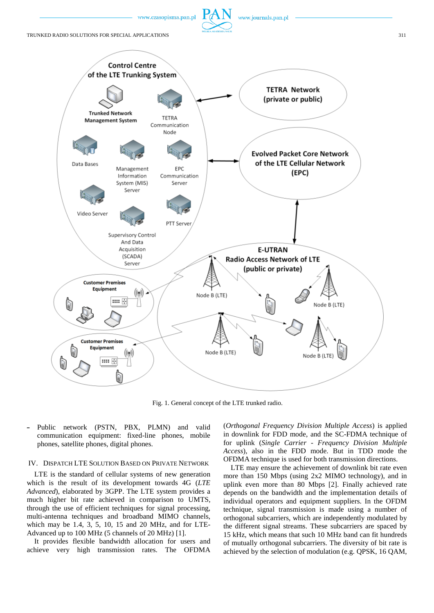

Fig. 1. General concept of the LTE trunked radio.

Public network (PSTN, PBX, PLMN) and valid communication equipment: fixed-line phones, mobile phones, satellite phones, digital phones.

#### IV. DISPATCH LTE SOLUTION BASED ON PRIVATE NETWORK

LTE is the standard of cellular systems of new generation which is the result of its development towards 4G (*LTE Advanced*), elaborated by 3GPP. The LTE system provides a much higher bit rate achieved in comparison to UMTS, through the use of efficient techniques for signal processing, multi-antenna techniques and broadband MIMO channels, which may be 1.4, 3, 5, 10, 15 and 20 MHz, and for LTE-Advanced up to 100 MHz (5 channels of 20 MHz) [1].

It provides flexible bandwidth allocation for users and achieve very high transmission rates. The OFDMA

(*Orthogonal Frequency Division Multiple Access*) is applied in downlink for FDD mode, and the SC-FDMA technique of for uplink (*Single Carrier - Frequency Division Multiple Access*), also in the FDD mode. But in TDD mode the OFDMA technique is used for both transmission directions.

LTE may ensure the achievement of downlink bit rate even more than 150 Mbps (using 2x2 MIMO technology), and in uplink even more than 80 Mbps [2]. Finally achieved rate depends on the bandwidth and the implementation details of individual operators and equipment suppliers. In the OFDM technique, signal transmission is made using a number of orthogonal subcarriers, which are independently modulated by the different signal streams. These subcarriers are spaced by 15 kHz, which means that such 10 MHz band can fit hundreds of mutually orthogonal subcarriers. The diversity of bit rate is achieved by the selection of modulation (e.g. QPSK, 16 QAM,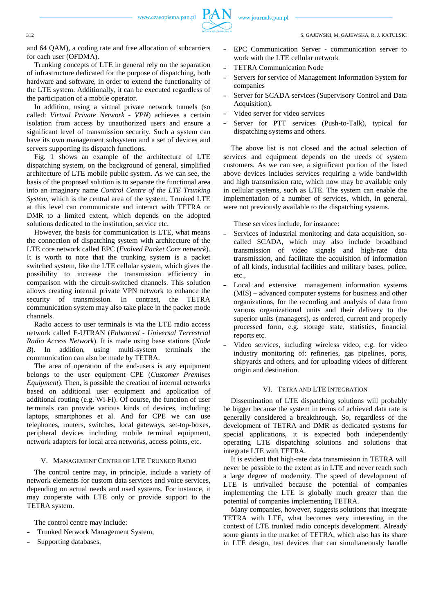

312 S. GAJEWSKI, M. GAJEWSKA, R. J. KATULSKI

and 64 QAM), a coding rate and free allocation of subcarriers for each user (OFDMA).

Trunking concepts of LTE in general rely on the separation of infrastructure dedicated for the purpose of dispatching, both hardware and software, in order to extend the functionality of the LTE system. Additionally, it can be executed regardless of the participation of a mobile operator.

In addition, using a virtual private network tunnels (so called: *Virtual Private Network - VPN*) achieves a certain isolation from access by unauthorized users and ensure a significant level of transmission security. Such a system can have its own management subsystem and a set of devices and servers supporting its dispatch functions.

Fig. 1 shows an example of the architecture of LTE dispatching system, on the background of general, simplified architecture of LTE mobile public system. As we can see, the basis of the proposed solution is to separate the functional area into an imaginary name *Control Centre of the LTE Trunking System*, which is the central area of the system. Trunked LTE at this level can communicate and interact with TETRA or DMR to a limited extent, which depends on the adopted solutions dedicated to the institution, service etc.

However, the basis for communication is LTE, what means the connection of dispatching system with architecture of the LTE core network called EPC (*Evolved Packet Core network*). It is worth to note that the trunking system is a packet switched system, like the LTE cellular system, which gives the possibility to increase the transmission efficiency in comparison with the circuit-switched channels. This solution allows creating internal private VPN network to enhance the security of transmission. In contrast, the TETRA communication system may also take place in the packet mode channels.

Radio access to user terminals is via the LTE radio access network called E-UTRAN (*Enhanced - Universal Terrestrial Radio Access Network*). It is made using base stations (*Node B*). In addition, using multi-system terminals the communication can also be made by TETRA.

The area of operation of the end-users is any equipment belongs to the user equipment CPE (*Customer Premises Equipment*). Then, is possible the creation of internal networks based on additional user equipment and application of additional routing (e.g. Wi-Fi). Of course, the function of user terminals can provide various kinds of devices, including: laptops, smartphones et al. And for CPE we can use telephones, routers, switches, local gateways, set-top-boxes, peripheral devices including mobile terminal equipment, network adapters for local area networks, access points, etc.

# V. MANAGEMENT CENTRE OF LTE TRUNKED RADIO

The control centre may, in principle, include a variety of network elements for custom data services and voice services, depending on actual needs and used systems. For instance, it may cooperate with LTE only or provide support to the TETRA system.

The control centre may include:

- ˗ Trunked Network Management System,
- Supporting databases,
- ˗ EPC Communication Server communication server to work with the LTE cellular network
- ˗ TETRA Communication Node
- ˗ Servers for service of Management Information System for companies
- Server for SCADA services (Supervisory Control and Data Acquisition),
- Video server for video services
- Server for PTT services (Push-to-Talk), typical for dispatching systems and others.

The above list is not closed and the actual selection of services and equipment depends on the needs of system customers. As we can see, a significant portion of the listed above devices includes services requiring a wide bandwidth and high transmission rate, which now may be available only in cellular systems, such as LTE. The system can enable the implementation of a number of services, which, in general, were not previously available to the dispatching systems.

These services include, for instance:

- Services of industrial monitoring and data acquisition, socalled SCADA, which may also include broadband transmission of video signals and high-rate data transmission, and facilitate the acquisition of information of all kinds, industrial facilities and military bases, police, etc.,
- Local and extensive management information systems (MIS) – advanced computer systems for business and other organizations, for the recording and analysis of data from various organizational units and their delivery to the superior units (managers), as ordered, current and properly processed form, e.g. storage state, statistics, financial reports etc.
- ˗ Video services, including wireless video, e.g. for video industry monitoring of: refineries, gas pipelines, ports, shipyards and others, and for uploading videos of different origin and destination.

## VI. TETRA AND LTE INTEGRATION

Dissemination of LTE dispatching solutions will probably be bigger because the system in terms of achieved data rate is generally considered a breakthrough. So, regardless of the development of TETRA and DMR as dedicated systems for special applications, it is expected both independently operating LTE dispatching solutions and solutions that integrate LTE with TETRA.

It is evident that high-rate data transmission in TETRA will never be possible to the extent as in LTE and never reach such a large degree of modernity. The speed of development of LTE is unrivalled because the potential of companies implementing the LTE is globally much greater than the potential of companies implementing TETRA.

Many companies, however, suggests solutions that integrate TETRA with LTE, what becomes very interesting in the context of LTE trunked radio concepts development. Already some giants in the market of TETRA, which also has its share in LTE design, test devices that can simultaneously handle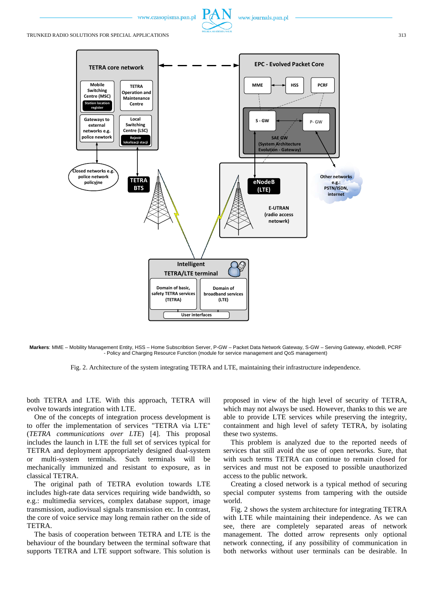

**Markers**: MME – Mobility Management Entity, HSS – Home Subscribtion Server, P-GW – Packet Data Network Gateway, S-GW – Serving Gateway, eNodeB, PCRF - Policy and Charging Resource Function (module for service management and QoS management)

Fig. 2. Architecture of the system integrating TETRA and LTE, maintaining their infrastructure independence.

both TETRA and LTE. With this approach, TETRA will evolve towards integration with LTE.

One of the concepts of integration process development is to offer the implementation of services "TETRA via LTE" (*TETRA communications over LTE*) [4]. This proposal includes the launch in LTE the full set of services typical for TETRA and deployment appropriately designed dual-system or multi-system terminals. Such terminals will be mechanically immunized and resistant to exposure, as in classical TETRA.

The original path of TETRA evolution towards LTE includes high-rate data services requiring wide bandwidth, so e.g.: multimedia services, complex database support, image transmission, audiovisual signals transmission etc. In contrast, the core of voice service may long remain rather on the side of TETRA.

The basis of cooperation between TETRA and LTE is the behaviour of the boundary between the terminal software that supports TETRA and LTE support software. This solution is

proposed in view of the high level of security of TETRA, which may not always be used. However, thanks to this we are able to provide LTE services while preserving the integrity, containment and high level of safety TETRA, by isolating these two systems.

This problem is analyzed due to the reported needs of services that still avoid the use of open networks. Sure, that with such terms TETRA can continue to remain closed for services and must not be exposed to possible unauthorized access to the public network.

Creating a closed network is a typical method of securing special computer systems from tampering with the outside world.

Fig. 2 shows the system architecture for integrating TETRA with LTE while maintaining their independence. As we can see, there are completely separated areas of network management. The dotted arrow represents only optional network connecting, if any possibility of communication in both networks without user terminals can be desirable. In